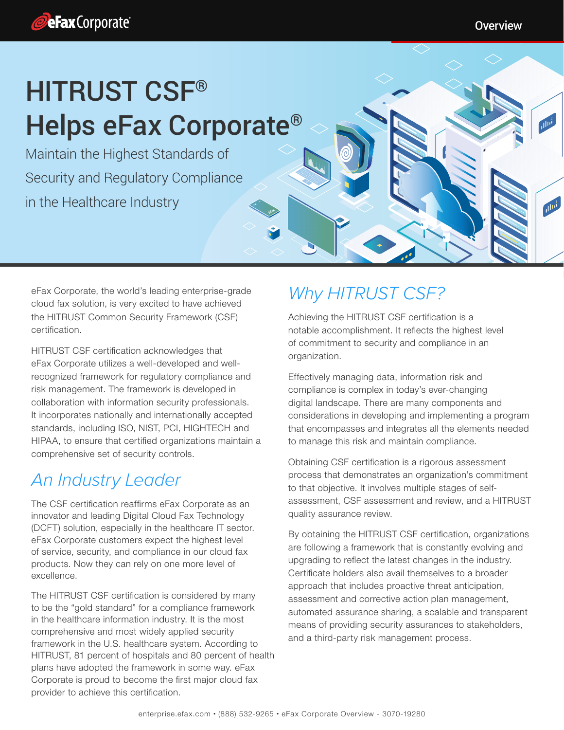

**Ollis** 

# HITRUST CSF® Helps eFax Corporate®

Maintain the Highest Standards of Security and Regulatory Compliance in the Healthcare Industry

eFax Corporate, the world's leading enterprise-grade cloud fax solution, is very excited to have achieved the HITRUST Common Security Framework (CSF) certification.

HITRUST CSF certification acknowledges that eFax Corporate utilizes a well-developed and wellrecognized framework for regulatory compliance and risk management. The framework is developed in collaboration with information security professionals. It incorporates nationally and internationally accepted standards, including ISO, NIST, PCI, HIGHTECH and HIPAA, to ensure that certified organizations maintain a comprehensive set of security controls.

## An Industry Leader

The CSF certification reaffirms eFax Corporate as an innovator and leading Digital Cloud Fax Technology (DCFT) solution, especially in the healthcare IT sector. eFax Corporate customers expect the highest level of service, security, and compliance in our cloud fax products. Now they can rely on one more level of excellence.

The HITRUST CSF certification is considered by many to be the "gold standard" for a compliance framework in the healthcare information industry. It is the most comprehensive and most widely applied security framework in the U.S. healthcare system. According to HITRUST, 81 percent of hospitals and 80 percent of health plans have adopted the framework in some way. eFax Corporate is proud to become the first major cloud fax provider to achieve this certification.

# Why HITRUST CSF?

Achieving the HITRUST CSF certification is a notable accomplishment. It reflects the highest level of commitment to security and compliance in an organization.

Effectively managing data, information risk and compliance is complex in today's ever-changing digital landscape. There are many components and considerations in developing and implementing a program that encompasses and integrates all the elements needed to manage this risk and maintain compliance.

Obtaining CSF certification is a rigorous assessment process that demonstrates an organization's commitment to that objective. It involves multiple stages of selfassessment, CSF assessment and review, and a HITRUST quality assurance review.

By obtaining the HITRUST CSF certification, organizations are following a framework that is constantly evolving and upgrading to reflect the latest changes in the industry. Certificate holders also avail themselves to a broader approach that includes proactive threat anticipation, assessment and corrective action plan management, automated assurance sharing, a scalable and transparent means of providing security assurances to stakeholders, and a third-party risk management process.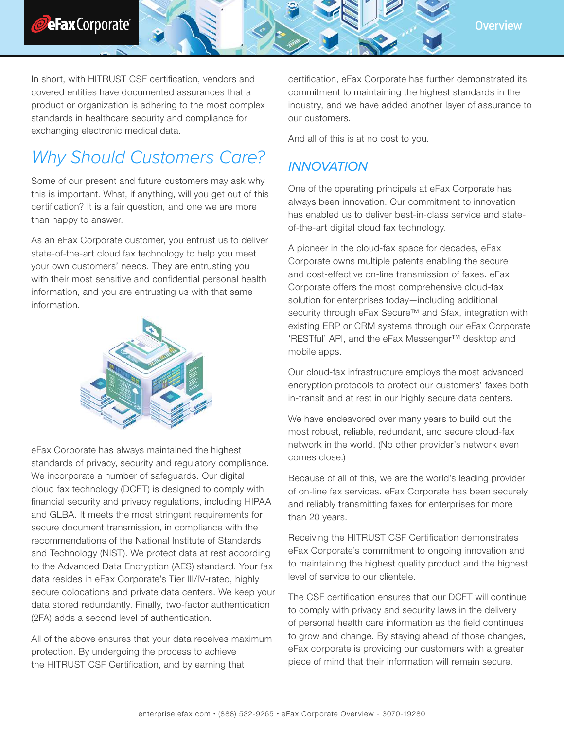



In short, with HITRUST CSF certification, vendors and covered entities have documented assurances that a product or organization is adhering to the most complex standards in healthcare security and compliance for exchanging electronic medical data.

# Why Should Customers Care?

Some of our present and future customers may ask why this is important. What, if anything, will you get out of this certification? It is a fair question, and one we are more than happy to answer.

As an eFax Corporate customer, you entrust us to deliver state-of-the-art cloud fax technology to help you meet your own customers' needs. They are entrusting you with their most sensitive and confidential personal health information, and you are entrusting us with that same information.



eFax Corporate has always maintained the highest standards of privacy, security and regulatory compliance. We incorporate a number of safeguards. Our digital cloud fax technology (DCFT) is designed to comply with financial security and privacy regulations, including HIPAA and GLBA. It meets the most stringent requirements for secure document transmission, in compliance with the recommendations of the National Institute of Standards and Technology (NIST). We protect data at rest according to the Advanced Data Encryption (AES) standard. Your fax data resides in eFax Corporate's Tier III/IV-rated, highly secure colocations and private data centers. We keep your data stored redundantly. Finally, two-factor authentication (2FA) adds a second level of authentication.

All of the above ensures that your data receives maximum protection. By undergoing the process to achieve the HITRUST CSF Certification, and by earning that

certification, eFax Corporate has further demonstrated its commitment to maintaining the highest standards in the industry, and we have added another layer of assurance to our customers.

And all of this is at no cost to you.

## INNOVATION

One of the operating principals at eFax Corporate has always been innovation. Our commitment to innovation has enabled us to deliver best-in-class service and stateof-the-art digital cloud fax technology.

A pioneer in the cloud-fax space for decades, eFax Corporate owns multiple patents enabling the secure and cost-effective on-line transmission of faxes. eFax Corporate offers the most comprehensive cloud-fax solution for enterprises today—including additional security through eFax Secure<sup>™</sup> and Sfax, integration with existing ERP or CRM systems through our eFax Corporate 'RESTful' API, and the eFax Messenger™ desktop and mobile apps.

Our cloud-fax infrastructure employs the most advanced encryption protocols to protect our customers' faxes both in-transit and at rest in our highly secure data centers.

We have endeavored over many years to build out the most robust, reliable, redundant, and secure cloud-fax network in the world. (No other provider's network even comes close.)

Because of all of this, we are the world's leading provider of on-line fax services. eFax Corporate has been securely and reliably transmitting faxes for enterprises for more than 20 years.

Receiving the HITRUST CSF Certification demonstrates eFax Corporate's commitment to ongoing innovation and to maintaining the highest quality product and the highest level of service to our clientele.

The CSF certification ensures that our DCFT will continue to comply with privacy and security laws in the delivery of personal health care information as the field continues to grow and change. By staying ahead of those changes, eFax corporate is providing our customers with a greater piece of mind that their information will remain secure.